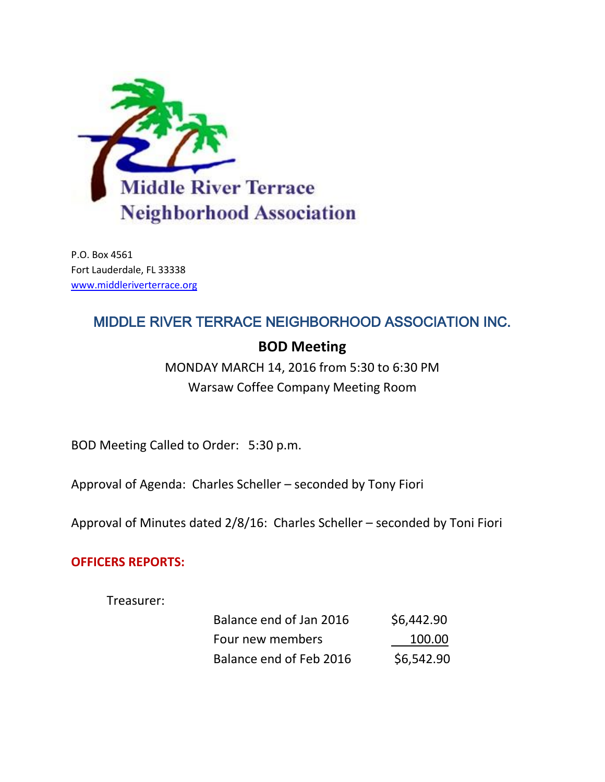

P.O. Box 4561 Fort Lauderdale, FL 33338 [www.middleriverterrace.org](http://www.middleriverterrace.org/)

# MIDDLE RIVER TERRACE NEIGHBORHOOD ASSOCIATION INC.

## **BOD Meeting**

MONDAY MARCH 14, 2016 from 5:30 to 6:30 PM Warsaw Coffee Company Meeting Room

BOD Meeting Called to Order: 5:30 p.m.

Approval of Agenda: Charles Scheller – seconded by Tony Fiori

Approval of Minutes dated 2/8/16: Charles Scheller – seconded by Toni Fiori

## **OFFICERS REPORTS:**

Treasurer:

| Balance end of Jan 2016 | \$6,442.90 |
|-------------------------|------------|
| Four new members        | 100.00     |
| Balance end of Feb 2016 | \$6,542.90 |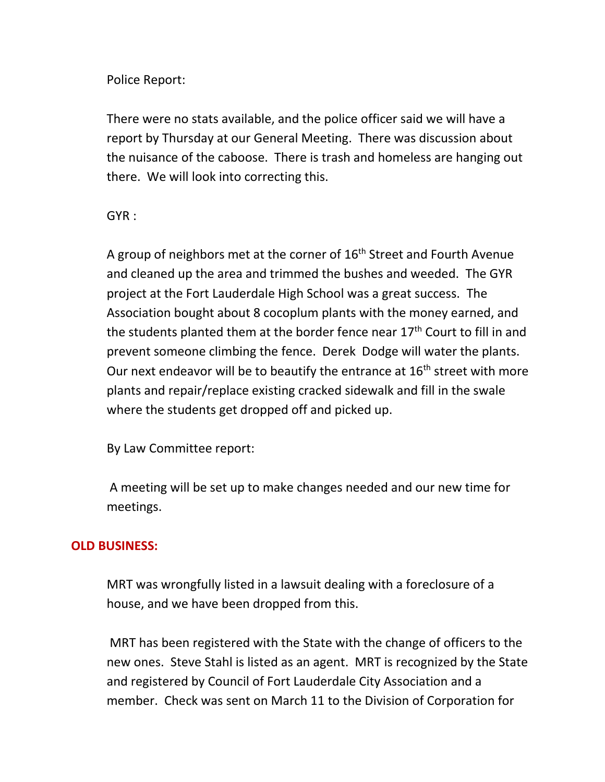Police Report:

There were no stats available, and the police officer said we will have a report by Thursday at our General Meeting. There was discussion about the nuisance of the caboose. There is trash and homeless are hanging out there. We will look into correcting this.

GYR :

A group of neighbors met at the corner of  $16<sup>th</sup>$  Street and Fourth Avenue and cleaned up the area and trimmed the bushes and weeded. The GYR project at the Fort Lauderdale High School was a great success. The Association bought about 8 cocoplum plants with the money earned, and the students planted them at the border fence near  $17<sup>th</sup>$  Court to fill in and prevent someone climbing the fence. Derek Dodge will water the plants. Our next endeavor will be to beautify the entrance at  $16<sup>th</sup>$  street with more plants and repair/replace existing cracked sidewalk and fill in the swale where the students get dropped off and picked up.

By Law Committee report:

A meeting will be set up to make changes needed and our new time for meetings.

## **OLD BUSINESS:**

MRT was wrongfully listed in a lawsuit dealing with a foreclosure of a house, and we have been dropped from this.

MRT has been registered with the State with the change of officers to the new ones. Steve Stahl is listed as an agent. MRT is recognized by the State and registered by Council of Fort Lauderdale City Association and a member. Check was sent on March 11 to the Division of Corporation for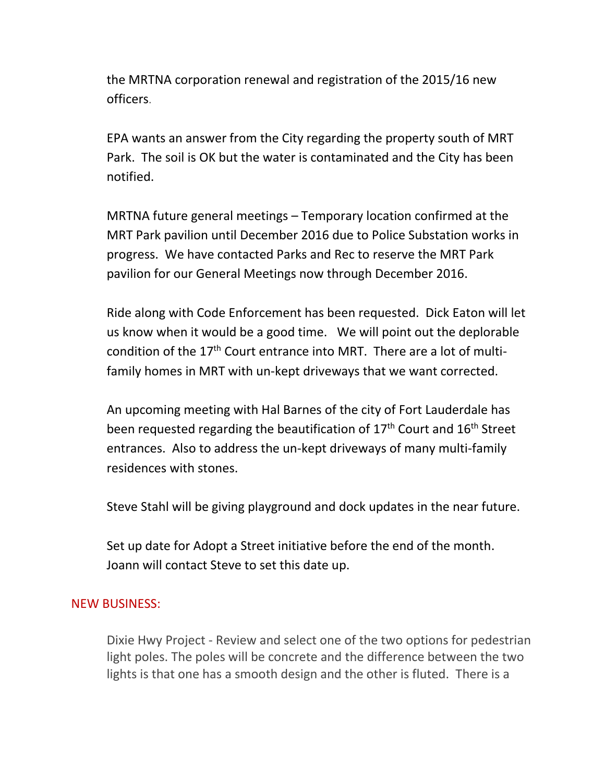the MRTNA corporation renewal and registration of the 2015/16 new officers.

EPA wants an answer from the City regarding the property south of MRT Park. The soil is OK but the water is contaminated and the City has been notified.

MRTNA future general meetings – Temporary location confirmed at the MRT Park pavilion until December 2016 due to Police Substation works in progress. We have contacted Parks and Rec to reserve the MRT Park pavilion for our General Meetings now through December 2016.

Ride along with Code Enforcement has been requested. Dick Eaton will let us know when it would be a good time. We will point out the deplorable condition of the  $17<sup>th</sup>$  Court entrance into MRT. There are a lot of multifamily homes in MRT with un-kept driveways that we want corrected.

An upcoming meeting with Hal Barnes of the city of Fort Lauderdale has been requested regarding the beautification of  $17<sup>th</sup>$  Court and  $16<sup>th</sup>$  Street entrances. Also to address the un-kept driveways of many multi-family residences with stones.

Steve Stahl will be giving playground and dock updates in the near future.

Set up date for Adopt a Street initiative before the end of the month. Joann will contact Steve to set this date up.

#### NEW BUSINESS:

Dixie Hwy Project - Review and select one of the two options for pedestrian light poles. The poles will be concrete and the difference between the two lights is that one has a smooth design and the other is fluted. There is a